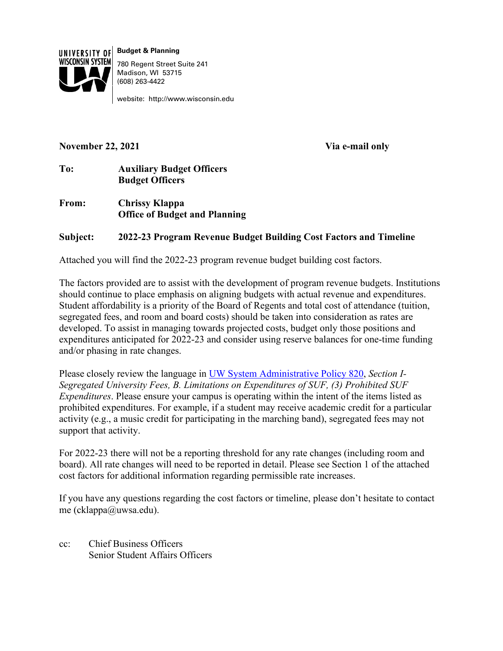

**Budget & Planning** 780 Regent Street Suite 241 Madison, WI 53715 (608) 263-4422

website: http://www.wisconsin.edu

## **November 22, 2021 Via e-mail only**

## **To: Auxiliary Budget Officers Budget Officers**

**From: Chrissy Klappa Office of Budget and Planning**

## **Subject: 2022-23 Program Revenue Budget Building Cost Factors and Timeline**

Attached you will find the 2022-23 program revenue budget building cost factors.

The factors provided are to assist with the development of program revenue budgets. Institutions should continue to place emphasis on aligning budgets with actual revenue and expenditures. Student affordability is a priority of the Board of Regents and total cost of attendance (tuition, segregated fees, and room and board costs) should be taken into consideration as rates are developed. To assist in managing towards projected costs, budget only those positions and expenditures anticipated for 2022-23 and consider using reserve balances for one-time funding and/or phasing in rate changes.

Please closely review the language in [UW System Administrative Policy 820,](https://www.wisconsin.edu/uw-policies/uw-system-administrative-policies/segregated-university-fees/) *Section I-Segregated University Fees, B. Limitations on Expenditures of SUF, (3) Prohibited SUF Expenditures*. Please ensure your campus is operating within the intent of the items listed as prohibited expenditures. For example, if a student may receive academic credit for a particular activity (e.g., a music credit for participating in the marching band), segregated fees may not support that activity.

For 2022-23 there will not be a reporting threshold for any rate changes (including room and board). All rate changes will need to be reported in detail. Please see Section 1 of the attached cost factors for additional information regarding permissible rate increases.

If you have any questions regarding the cost factors or timeline, please don't hesitate to contact me (cklappa@uwsa.edu).

cc: Chief Business Officers Senior Student Affairs Officers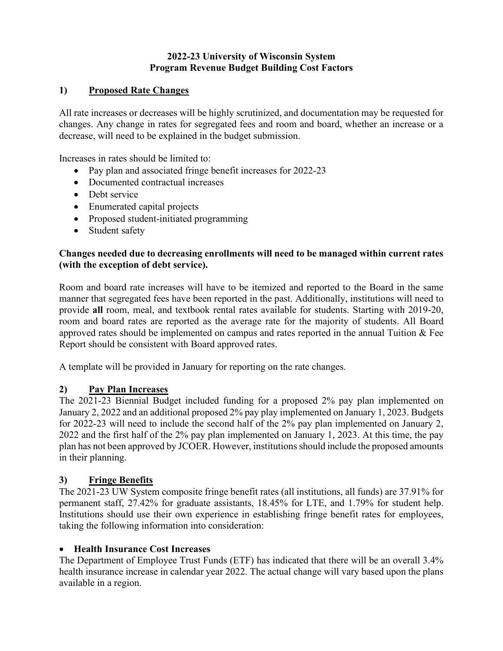## **2022-23 University of Wisconsin System Program Revenue Budget Building Cost Factors**

## **1) Proposed Rate Changes**

All rate increases or decreases will be highly scrutinized, and documentation may be requested for changes. Any change in rates for segregated fees and room and board, whether an increase or a decrease, will need to be explained in the budget submission.

Increases in rates should be limited to:

- Pay plan and associated fringe benefit increases for 2022-23
- Documented contractual increases
- Debt service
- Enumerated capital projects
- Proposed student-initiated programming
- Student safety

## **Changes needed due to decreasing enrollments will need to be managed within current rates (with the exception of debt service).**

Room and board rate increases will have to be itemized and reported to the Board in the same manner that segregated fees have been reported in the past. Additionally, institutions will need to provide **all** room, meal, and textbook rental rates available for students. Starting with 2019-20, room and board rates are reported as the average rate for the majority of students. All Board approved rates should be implemented on campus and rates reported in the annual Tuition & Fee Report should be consistent with Board approved rates.

A template will be provided in January for reporting on the rate changes.

## **2) Pay Plan Increases**

The 2021-23 Biennial Budget included funding for a proposed 2% pay plan implemented on January 2, 2022 and an additional proposed 2% pay play implemented on January 1, 2023. Budgets for 2022-23 will need to include the second half of the 2% pay plan implemented on January 2, 2022 and the first half of the 2% pay plan implemented on January 1, 2023. At this time, the pay plan has not been approved by JCOER. However, institutions should include the proposed amounts in their planning.

## **3) Fringe Benefits**

The 2021-23 UW System composite fringe benefit rates (all institutions, all funds) are 37.91% for permanent staff, 27.42% for graduate assistants, 18.45% for LTE, and 1.79% for student help. Institutions should use their own experience in establishing fringe benefit rates for employees, taking the following information into consideration:

## • **Health Insurance Cost Increases**

The Department of Employee Trust Funds (ETF) has indicated that there will be an overall 3.4% health insurance increase in calendar year 2022. The actual change will vary based upon the plans available in a region.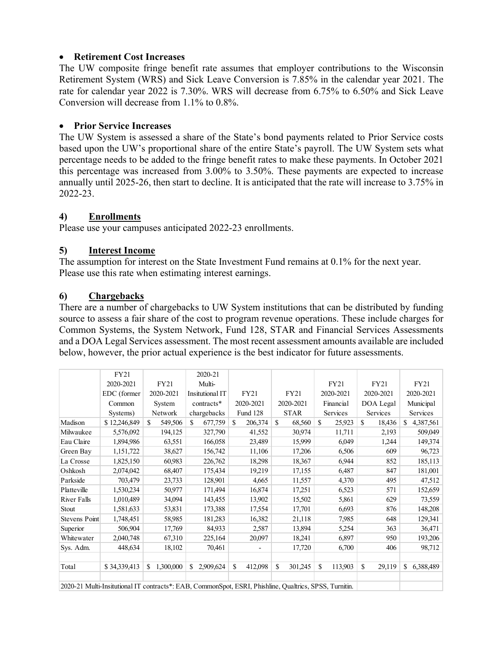#### • **Retirement Cost Increases**

The UW composite fringe benefit rate assumes that employer contributions to the Wisconsin Retirement System (WRS) and Sick Leave Conversion is 7.85% in the calendar year 2021. The rate for calendar year 2022 is 7.30%. WRS will decrease from 6.75% to 6.50% and Sick Leave Conversion will decrease from 1.1% to 0.8%.

#### • **Prior Service Increases**

The UW System is assessed a share of the State's bond payments related to Prior Service costs based upon the UW's proportional share of the entire State's payroll. The UW System sets what percentage needs to be added to the fringe benefit rates to make these payments. In October 2021 this percentage was increased from 3.00% to 3.50%. These payments are expected to increase annually until 2025-26, then start to decline. It is anticipated that the rate will increase to 3.75% in 2022-23.

## **4) Enrollments**

Please use your campuses anticipated 2022-23 enrollments.

## **5) Interest Income**

The assumption for interest on the State Investment Fund remains at 0.1% for the next year. Please use this rate when estimating interest earnings.

#### **6) Chargebacks**

There are a number of chargebacks to UW System institutions that can be distributed by funding source to assess a fair share of the cost to program revenue operations. These include charges for Common Systems, the System Network, Fund 128, STAR and Financial Services Assessments and a DOA Legal Services assessment. The most recent assessment amounts available are included below, however, the prior actual experience is the best indicator for future assessments.

|                                                                                                        | FY21         |                |  | 2020-21         |           |             |                          |             |         |               |         |           |        |             |           |
|--------------------------------------------------------------------------------------------------------|--------------|----------------|--|-----------------|-----------|-------------|--------------------------|-------------|---------|---------------|---------|-----------|--------|-------------|-----------|
|                                                                                                        | 2020-2021    | FY21           |  | Multi-          |           |             |                          |             |         | FY21          |         | FY21      |        | <b>FY21</b> |           |
|                                                                                                        | EDC (former  | 2020-2021      |  | Insitutional IT |           | <b>FY21</b> |                          | <b>FY21</b> |         | 2020-2021     |         | 2020-2021 |        | 2020-2021   |           |
|                                                                                                        | Common       | System         |  | contracts*      |           | 2020-2021   |                          | 2020-2021   |         | Financial     |         | DOA Legal |        | Municipal   |           |
|                                                                                                        | Systems)     | Network        |  | chargebacks     |           | Fund 128    |                          | <b>STAR</b> |         | Services      |         | Services  |        | Services    |           |
| Madison                                                                                                | \$12,246,849 | \$.<br>549,506 |  | S.              | 677,759   | S.          | 206,374                  | S           | 68,560  | <sup>\$</sup> | 25,923  | \$        | 18,436 | S.          | 4,387,561 |
| Milwaukee                                                                                              | 5,576,092    | 194,125        |  |                 | 327,790   |             | 41,552                   |             | 30,974  |               | 11,711  |           | 2,193  |             | 509,049   |
| Eau Claire                                                                                             | 1,894,986    | 63,551         |  |                 | 166,058   |             | 23,489                   |             | 15,999  |               | 6,049   |           | 1,244  |             | 149,374   |
| Green Bay                                                                                              | 1,151,722    | 38,627         |  |                 | 156,742   |             | 11,106                   |             | 17,206  |               | 6,506   |           | 609    |             | 96,723    |
| La Crosse                                                                                              | 1,825,150    | 60,983         |  |                 | 226,762   |             | 18,298                   |             | 18,367  |               | 6,944   |           | 852    |             | 185,113   |
| Oshkosh                                                                                                | 2,074,042    | 68,407         |  |                 | 175,434   |             | 19,219                   |             | 17,155  |               | 6,487   |           | 847    |             | 181,001   |
| Parkside                                                                                               | 703,479      | 23,733         |  |                 | 128,901   |             | 4,665                    |             | 11,557  |               | 4,370   |           | 495    |             | 47,512    |
| Platteville                                                                                            | 1,530,234    | 50,977         |  |                 | 171,494   |             | 16,874                   |             | 17,251  |               | 6,523   |           | 571    |             | 152,659   |
| River Falls                                                                                            | 1,010,489    | 34,094         |  |                 | 143,455   |             | 13,902                   |             | 15,502  |               | 5,861   |           | 629    |             | 73,559    |
| Stout                                                                                                  | 1,581,633    | 53,831         |  |                 | 173,388   |             | 17,554                   |             | 17,701  |               | 6,693   |           | 876    |             | 148,208   |
| Stevens Point                                                                                          | 1,748,451    | 58,985         |  |                 | 181,283   |             | 16,382                   |             | 21,118  |               | 7,985   |           | 648    |             | 129,341   |
| Superior                                                                                               | 506,904      | 17,769         |  |                 | 84,933    |             | 2,587                    |             | 13,894  |               | 5,254   |           | 363    |             | 36,471    |
| Whitewater                                                                                             | 2,040,748    | 67,310         |  |                 | 225,164   |             | 20,097                   |             | 18,241  |               | 6,897   |           | 950    |             | 193,206   |
| Sys. Adm.                                                                                              | 448,634      | 18,102         |  |                 | 70,461    |             | $\overline{\phantom{0}}$ |             | 17,720  |               | 6,700   |           | 406    |             | 98,712    |
| Total                                                                                                  | \$34,339,413 | 1,300,000<br>S |  | S               | 2,909,624 | \$          | 412,098                  | \$          | 301,245 | \$            | 113,903 | \$        | 29,119 | \$          | 6,388,489 |
| 2020-21 Multi-Insitutional IT contracts*: EAB, CommonSpot, ESRI, Phishline, Qualtrics, SPSS, Turnitin. |              |                |  |                 |           |             |                          |             |         |               |         |           |        |             |           |